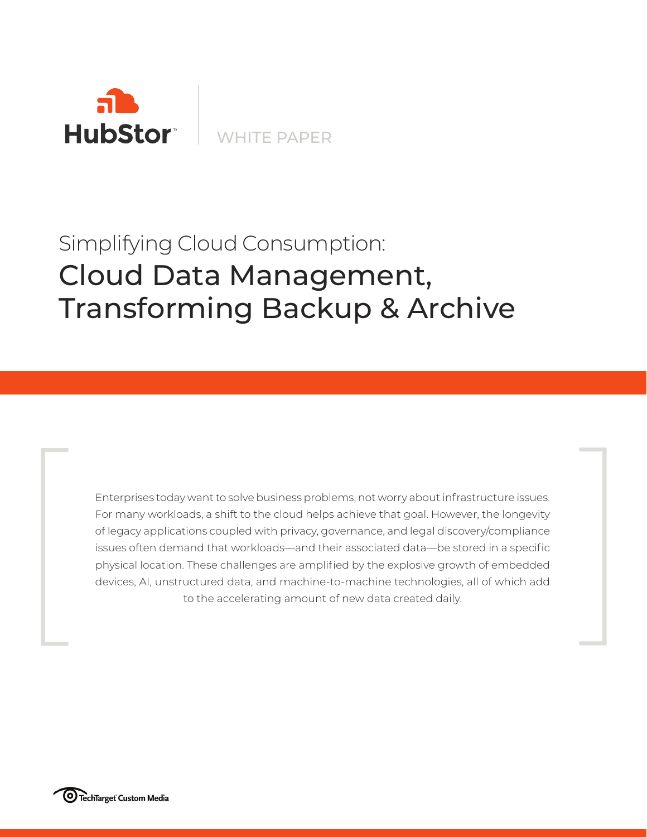

WHITE PAPER

# Cloud Data Management, Transforming Backup & Archive & Simplifying Cloud Consumption:

Enterprises today want to solve business problems, not worry about infrastructure issues. For many workloads, a shift to the cloud helps achieve that goal. However, the longevity of legacy applications coupled with privacy, governance, and legal discovery/compliance issues often demand that workloads—and their associated data—be stored in a specific physical location. These challenges are amplified by the explosive growth of embedded Enterprises today want to solve business problems, not worry about infrastructure issues. For many workloads, a shift to the cloud helps achieve that goal. However, the longevity of legacy applications coupled with privacy

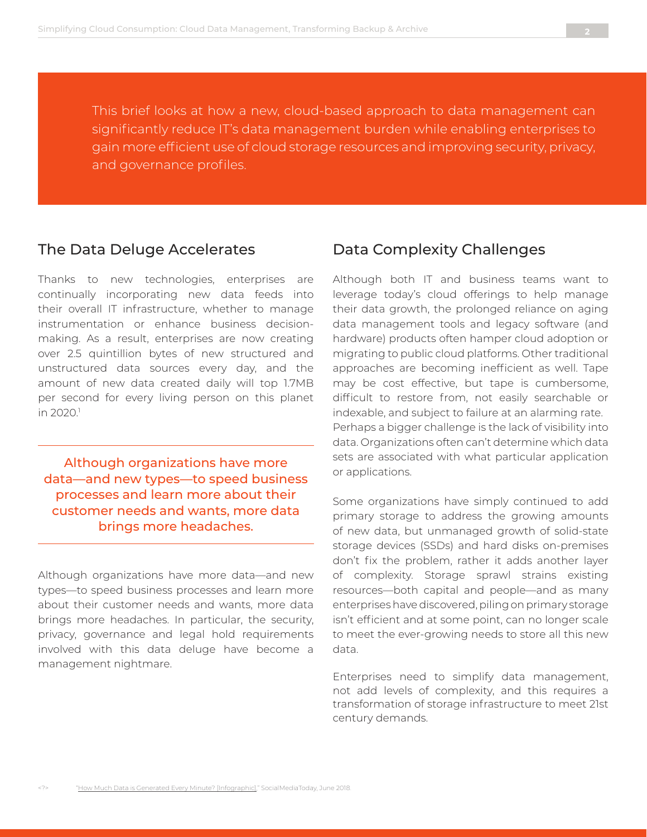This brief looks at how a new, cloud-based approach to data management can significantly reduce IT's data management burden while enabling enterprises to gain more efficient use of cloud storage resources and improving security, privacy, and governance profiles.

#### The Data Deluge Accelerates

Thanks to new technologies, enterprises are continually incorporating new data feeds into their overall IT infrastructure, whether to manage instrumentation or enhance business decisionmaking. As a result, enterprises are now creating over 2.5 quintillion bytes of new structured and unstructured data sources every day, and the amount of new data created daily will top 1.7MB per second for every living person on this planet in 2020.<sup>1</sup>

Although organizations have more data—and new types—to speed business processes and learn more about their customer needs and wants, more data brings more headaches.

Although organizations have more data—and new types—to speed business processes and learn more about their customer needs and wants, more data brings more headaches. In particular, the security, privacy, governance and legal hold requirements involved with this data deluge have become a management nightmare.

#### Data Complexity Challenges

Although both IT and business teams want to leverage today's cloud offerings to help manage their data growth, the prolonged reliance on aging data management tools and legacy software (and hardware) products often hamper cloud adoption or migrating to public cloud platforms. Other traditional approaches are becoming inefficient as well. Tape may be cost effective, but tape is cumbersome, difficult to restore from, not easily searchable or indexable, and subject to failure at an alarming rate. Perhaps a bigger challenge is the lack of visibility into data. Organizations often can't determine which data sets are associated with what particular application or applications.

Some organizations have simply continued to add primary storage to address the growing amounts of new data, but unmanaged growth of solid-state storage devices (SSDs) and hard disks on-premises don't fix the problem, rather it adds another layer of complexity. Storage sprawl strains existing resources—both capital and people—and as many enterprises have discovered, piling on primary storage isn't efficient and at some point, can no longer scale to meet the ever-growing needs to store all this new data.

Enterprises need to simplify data management, not add levels of complexity, and this requires a transformation of storage infrastructure to meet 21st century demands.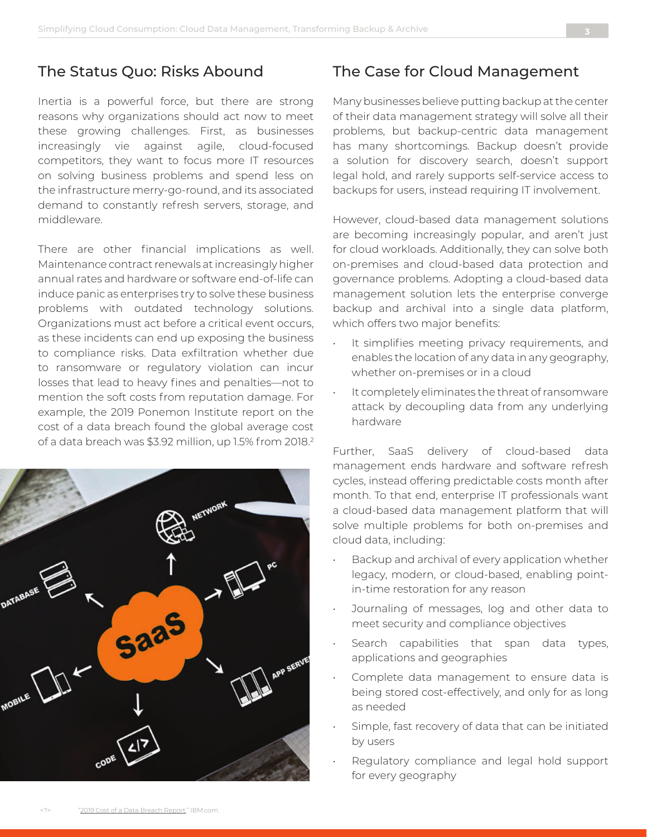## The Status Quo: Risks Abound

Inertia is a powerful force, but there are strong reasons why organizations should act now to meet these growing challenges. First, as businesses increasingly vie against agile, cloud-focused competitors, they want to focus more IT resources on solving business problems and spend less on the infrastructure merry-go-round, and its associated demand to constantly refresh servers, storage, and middleware.

There are other financial implications as well. Maintenance contract renewals at increasingly higher annual rates and hardware or software end-of-life can induce panic as enterprises try to solve these business problems with outdated technology solutions. Organizations must act before a critical event occurs, as these incidents can end up exposing the business to compliance risks. Data exfiltration whether due to ransomware or regulatory violation can incur losses that lead to heavy fines and penalties—not to mention the soft costs from reputation damage. For example, the 2019 Ponemon Institute report on the cost of a data breach found the global average cost of a data breach was \$3.92 million, up 1.5% from 2018.<sup>2</sup>



#### The Case for Cloud Management

Many businesses believe putting backup at the center of their data management strategy will solve all their problems, but backup-centric data management has many shortcomings. Backup doesn't provide a solution for discovery search, doesn't support legal hold, and rarely supports self-service access to backups for users, instead requiring IT involvement.

However, cloud-based data management solutions are becoming increasingly popular, and aren't just for cloud workloads. Additionally, they can solve both on-premises and cloud-based data protection and governance problems. Adopting a cloud-based data management solution lets the enterprise converge backup and archival into a single data platform, which offers two major benefits:

- It simplifies meeting privacy requirements, and enables the location of any data in any geography, whether on-premises or in a cloud
- It completely eliminates the threat of ransomware attack by decoupling data from any underlying hardware

Further, SaaS delivery of cloud-based data management ends hardware and software refresh cycles, instead offering predictable costs month after month. To that end, enterprise IT professionals want a cloud-based data management platform that will solve multiple problems for both on-premises and cloud data, including:

- Backup and archival of every application whether legacy, modern, or cloud-based, enabling pointin-time restoration for any reason
- Journaling of messages, log and other data to meet security and compliance objectives
- Search capabilities that span data types, applications and geographies
- Complete data management to ensure data is being stored cost-effectively, and only for as long as needed
- Simple, fast recovery of data that can be initiated by users
- Regulatory compliance and legal hold support for every geography